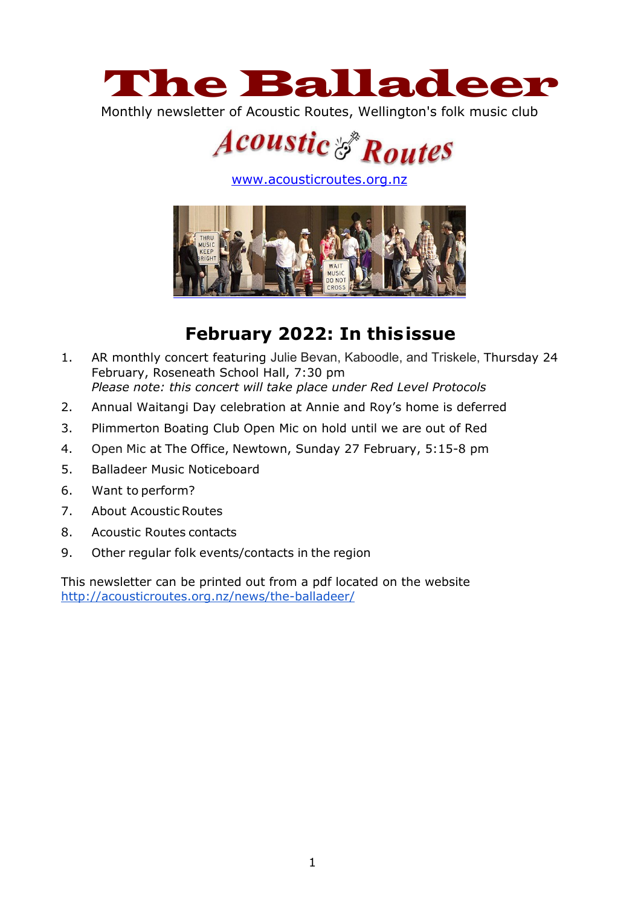

Monthly newsletter of Acoustic Routes, Wellington's folk music club



[www.acousticroutes.org.nz](http://www.acousticroutes.org.nz/)



# **February 2022: In thisissue**

- 1. AR monthly concert featuring Julie Bevan, Kaboodle, and Triskele, Thursday 24 February, Roseneath School Hall, 7:30 pm *Please note: this concert will take place under Red Level Protocols*
- 2. Annual Waitangi Day celebration at Annie and Roy's home is deferred
- 3. Plimmerton Boating Club Open Mic on hold until we are out of Red
- 4. Open Mic at The Office, Newtown, Sunday 27 February, 5:15-8 pm
- 5. Balladeer Music Noticeboard
- 6. Want to perform?
- 7. About AcousticRoutes
- 8. Acoustic Routes contacts
- 9. Other regular folk events/contacts in the region

This newsletter can be printed out from a pdf located on the website <http://acousticroutes.org.nz/news/the-balladeer/>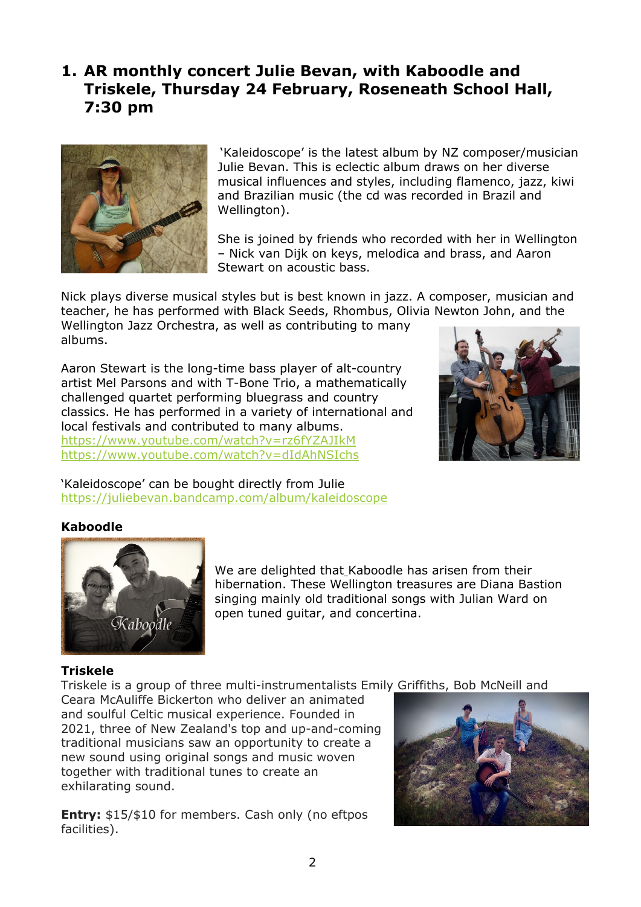## **1. AR monthly concert Julie Bevan, with Kaboodle and Triskele, Thursday 24 February, Roseneath School Hall, 7:30 pm**



'Kaleidoscope' is the latest album by NZ composer/musician Julie Bevan. This is eclectic album draws on her diverse musical influences and styles, including flamenco, jazz, kiwi and Brazilian music (the cd was recorded in Brazil and Wellington).

She is joined by friends who recorded with her in Wellington – Nick van Dijk on keys, melodica and brass, and Aaron Stewart on acoustic bass.

Nick plays diverse musical styles but is best known in jazz. A composer, musician and teacher, he has performed with Black Seeds, Rhombus, Olivia Newton John, and the

Wellington Jazz Orchestra, as well as contributing to many albums.

Aaron Stewart is the long-time bass player of alt-country artist Mel Parsons and with T-Bone Trio, a mathematically challenged quartet performing bluegrass and country classics. He has performed in a variety of international and local festivals and contributed to many albums. <https://www.youtube.com/watch?v=rz6fYZAJIkM> <https://www.youtube.com/watch?v=dIdAhNSIchs>



'Kaleidoscope' can be bought directly from Julie <https://juliebevan.bandcamp.com/album/kaleidoscope>

### **Kaboodle**



We are delighted that Kaboodle has arisen from their hibernation. These Wellington treasures are Diana Bastion singing mainly old traditional songs with Julian Ward on open tuned guitar, and concertina.

### **Triskele**

Triskele is a group of three multi-instrumentalists Emily Griffiths, Bob McNeill and

Ceara McAuliffe Bickerton who deliver an animated and soulful Celtic musical experience. Founded in 2021, three of New Zealand's top and up-and-coming traditional musicians saw an opportunity to create a new sound using original songs and music woven together with traditional tunes to create an exhilarating sound.

**Entry:** \$15/\$10 for members. Cash only (no eftpos facilities).

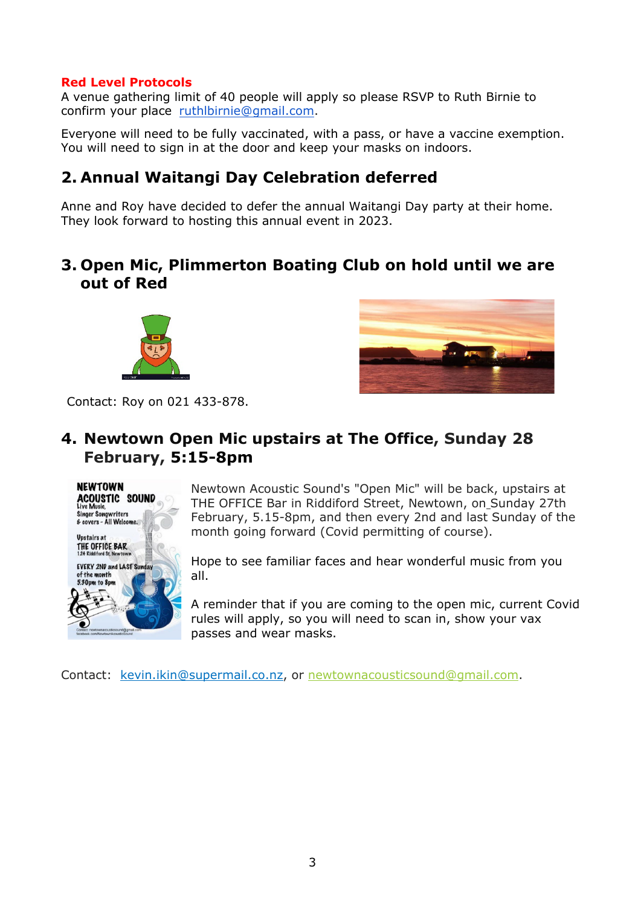#### **Red Level Protocols**

A venue gathering limit of 40 people will apply so please RSVP to Ruth Birnie to confirm your place [ruthlbirnie@gmail.com.](mailto:ruthlbirnie@gmail.com)

Everyone will need to be fully vaccinated, with a pass, or have a vaccine exemption. You will need to sign in at the door and keep your masks on indoors.

### **2. Annual Waitangi Day Celebration deferred**

Anne and Roy have decided to defer the annual Waitangi Day party at their home. They look forward to hosting this annual event in 2023.

### **3. Open Mic, Plimmerton Boating Club on hold until we are out of Red**





Contact: Roy on 021 433-878.

## **4. Newtown Open Mic upstairs at The Office, Sunday 28 February, 5:15-8pm**



Newtown Acoustic Sound's "Open Mic" will be back, upstairs at THE OFFICE Bar in Riddiford Street, Newtown, on Sunday 27th February, 5.15-8pm, and then every 2nd and last Sunday of the month going forward (Covid permitting of course).

Hope to see familiar faces and hear wonderful music from you all.

A reminder that if you are coming to the open mic, current Covid rules will apply, so you will need to scan in, show your vax passes and wear masks.

Contact: kevin.ikin@supermail.co.nz, or [newtownacousticsound@gmail.com.](mailto:newtownacousticsound@gmail.com)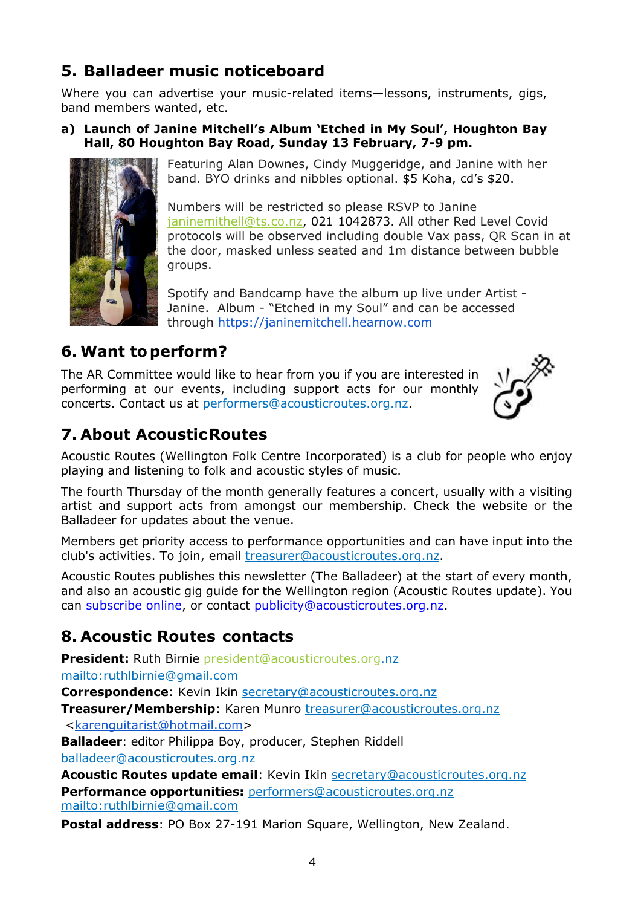# **5. Balladeer music noticeboard**

Where you can advertise your music-related items—lessons, instruments, gigs, band members wanted, etc.

### **a) Launch of Janine Mitchell's Album 'Etched in My Soul', Houghton Bay Hall, 80 Houghton Bay Road, Sunday 13 February, 7-9 pm.**



Featuring Alan Downes, Cindy Muggeridge, and Janine with her band. BYO drinks and nibbles optional. \$5 Koha, cd's \$20.

Numbers will be restricted so please RSVP to Janine [janinemithell@ts.co.nz,](mailto:janinemithell@ts.co.nz) 021 1042873. All other Red Level Covid protocols will be observed including double Vax pass, QR Scan in at the door, masked unless seated and 1m distance between bubble groups.

Spotify and Bandcamp have the album up live under Artist - Janine. Album - "Etched in my Soul" and can be accessed through [https://janinemitchell.hearnow.com](https://janinemitchell.hearnow.com/)

# **6. Want toperform?**

The AR Committee would like to hear from you if you are interested in performing at our events, including support acts for our monthly concerts. Contact us at [performers@acousticroutes.org.nz.](mailto:performers@acousticroutes.org.nz)



# **7. About AcousticRoutes**

Acoustic Routes (Wellington Folk Centre Incorporated) is a club for people who enjoy playing and listening to folk and acoustic styles of music.

The fourth Thursday of the month generally features a concert, usually with a visiting artist and support acts from amongst our membership. Check the website or the Balladeer for updates about the venue.

Members get priority access to performance opportunities and can have input into the club's activities. To join, email [treasurer@acousticroutes.org.nz.](mailto:treasurer@acousticroutes.org.nz)

Acoustic Routes publishes this newsletter (The Balladeer) at the start of every month, and also an acoustic gig guide for the Wellington region (Acoustic Routes update). You can [subscribe online,](http://eepurl.com/mP90b) or contact [publicity@acousticroutes.org.nz.](mailto:publicity@acousticroutes.org.nz)

# **8. Acoustic Routes contacts**

**President:** Ruth Birnie [president@acousticroutes.org.](mailto:president@acousticroutes.org)nz

<mailto:ruthlbirnie@gmail.com>

**Correspondence**: Kevin Ikin [secretary@acousticroutes.org.nz](mailto:secretary@acousticroutes.org.nz)

**Treasurer/Membership:** Karen Munro **[treasurer@acousticroutes.org.nz](mailto:treasurer@acousticroutes.org.nz)** 

[<karenguitarist@hotmail.com>](mailto:karenguitarist@hotmail.com)

**Balladeer**: editor Philippa Boy, producer, Stephen Riddell [balladeer@acousticroutes.org.nz](mailto:balladeer@acousticroutes.org.nz)

**Acoustic Routes update email**: Kevin Ikin [secretary@acousticroutes.org.nz](mailto:secretary@acousticroutes.org.nz) **Performance opportunities:** [performers@acousticroutes.org.nz](mailto:performers@acousticroutes.org.nz) <mailto:ruthlbirnie@gmail.com>

**Postal address**: PO Box 27-191 Marion Square, Wellington, New Zealand.